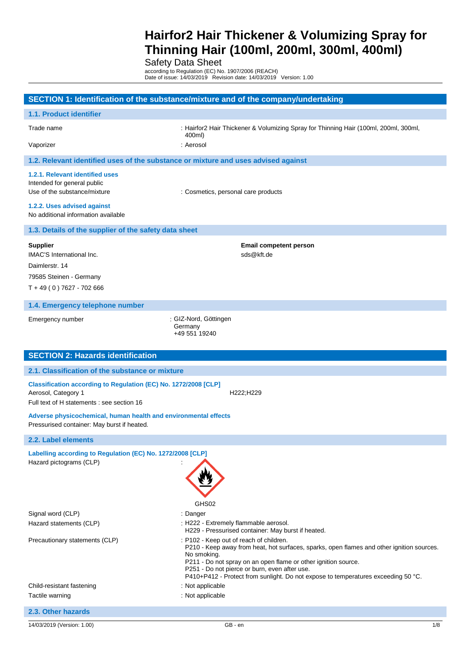Safety Data Sheet

according to Regulation (EC) No. 1907/2006 (REACH) Date of issue: 14/03/2019 Revision date: 14/03/2019 Version: 1.00

| SECTION 1: Identification of the substance/mixture and of the company/undertaking                                                    |                                                                                                                                                                                                                                                                                                                                                             |  |
|--------------------------------------------------------------------------------------------------------------------------------------|-------------------------------------------------------------------------------------------------------------------------------------------------------------------------------------------------------------------------------------------------------------------------------------------------------------------------------------------------------------|--|
| 1.1. Product identifier                                                                                                              |                                                                                                                                                                                                                                                                                                                                                             |  |
| Trade name                                                                                                                           | : Hairfor2 Hair Thickener & Volumizing Spray for Thinning Hair (100ml, 200ml, 300ml,<br>400ml)                                                                                                                                                                                                                                                              |  |
| Vaporizer                                                                                                                            | : Aerosol                                                                                                                                                                                                                                                                                                                                                   |  |
| 1.2. Relevant identified uses of the substance or mixture and uses advised against                                                   |                                                                                                                                                                                                                                                                                                                                                             |  |
| 1.2.1. Relevant identified uses<br>Intended for general public<br>Use of the substance/mixture                                       | : Cosmetics, personal care products                                                                                                                                                                                                                                                                                                                         |  |
| 1.2.2. Uses advised against<br>No additional information available                                                                   |                                                                                                                                                                                                                                                                                                                                                             |  |
| 1.3. Details of the supplier of the safety data sheet                                                                                |                                                                                                                                                                                                                                                                                                                                                             |  |
| <b>Supplier</b><br><b>IMAC'S International Inc.</b><br>Daimlerstr. 14<br>79585 Steinen - Germany<br>$T + 49(0) 7627 - 702 666$       | <b>Email competent person</b><br>sds@kft.de                                                                                                                                                                                                                                                                                                                 |  |
| 1.4. Emergency telephone number                                                                                                      |                                                                                                                                                                                                                                                                                                                                                             |  |
| Emergency number                                                                                                                     | : GIZ-Nord, Göttingen<br>Germany<br>+49 551 19240                                                                                                                                                                                                                                                                                                           |  |
| <b>SECTION 2: Hazards identification</b>                                                                                             |                                                                                                                                                                                                                                                                                                                                                             |  |
| 2.1. Classification of the substance or mixture                                                                                      |                                                                                                                                                                                                                                                                                                                                                             |  |
| Classification according to Regulation (EC) No. 1272/2008 [CLP]<br>Aerosol, Category 1<br>Full text of H statements : see section 16 | H222;H229                                                                                                                                                                                                                                                                                                                                                   |  |
| Adverse physicochemical, human health and environmental effects<br>Pressurised container: May burst if heated.                       |                                                                                                                                                                                                                                                                                                                                                             |  |
| 2.2. Label elements                                                                                                                  |                                                                                                                                                                                                                                                                                                                                                             |  |
| Labelling according to Regulation (EC) No. 1272/2008 [CLP]<br>Hazard pictograms (CLP)                                                | GHS02                                                                                                                                                                                                                                                                                                                                                       |  |
| Signal word (CLP)                                                                                                                    | : Danger                                                                                                                                                                                                                                                                                                                                                    |  |
| Hazard statements (CLP)                                                                                                              | : H222 - Extremely flammable aerosol.<br>H229 - Pressurised container: May burst if heated.                                                                                                                                                                                                                                                                 |  |
| Precautionary statements (CLP)                                                                                                       | : P102 - Keep out of reach of children.<br>P210 - Keep away from heat, hot surfaces, sparks, open flames and other ignition sources.<br>No smoking.<br>P211 - Do not spray on an open flame or other ignition source.<br>P251 - Do not pierce or burn, even after use.<br>P410+P412 - Protect from sunlight. Do not expose to temperatures exceeding 50 °C. |  |
| Child-resistant fastening                                                                                                            | : Not applicable                                                                                                                                                                                                                                                                                                                                            |  |
| Tactile warning                                                                                                                      | : Not applicable                                                                                                                                                                                                                                                                                                                                            |  |
| 2.3. Other hazards                                                                                                                   |                                                                                                                                                                                                                                                                                                                                                             |  |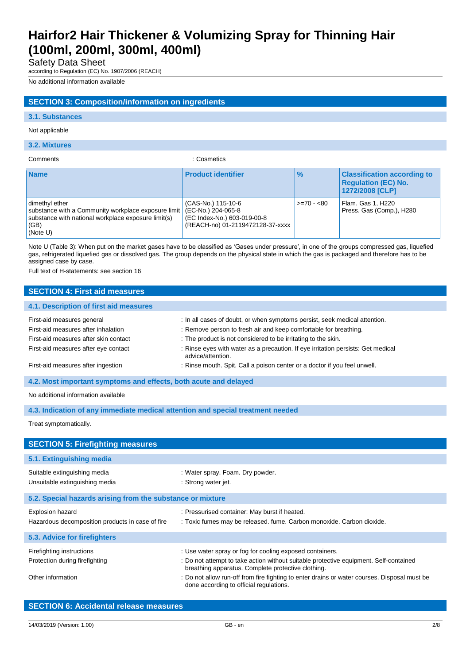Safety Data Sheet

according to Regulation (EC) No. 1907/2006 (REACH)

No additional information available

### **SECTION 3: Composition/information on ingredients**

#### **3.1. Substances**

#### Not applicable

#### **3.2. Mixtures**

Comments : Cosmetics

| <b>Name</b>                                                                                                                                      | <b>Product identifier</b>                                                                                   | $\frac{9}{6}$ | <b>Classification according to</b><br><b>Requlation (EC) No.</b><br>1272/2008 [CLP] |
|--------------------------------------------------------------------------------------------------------------------------------------------------|-------------------------------------------------------------------------------------------------------------|---------------|-------------------------------------------------------------------------------------|
| dimethyl ether<br>substance with a Community workplace exposure limit<br>substance with national workplace exposure limit(s)<br>(GB)<br>(Note U) | (CAS-No.) 115-10-6<br>(EC-No.) 204-065-8<br>(EC Index-No.) 603-019-00-8<br>(REACH-no) 01-2119472128-37-xxxx | $>= 70 - 80$  | Flam. Gas 1, H220<br>Press. Gas (Comp.), H280                                       |

Note U (Table 3): When put on the market gases have to be classified as 'Gases under pressure', in one of the groups compressed gas, liquefied gas, refrigerated liquefied gas or dissolved gas. The group depends on the physical state in which the gas is packaged and therefore has to be assigned case by case.

Full text of H-statements: see section 16

| <b>SECTION 4: First aid measures</b>                                                                                                                                                     |                                                                                                                                                                                                                                                                                                                                                                                                       |  |
|------------------------------------------------------------------------------------------------------------------------------------------------------------------------------------------|-------------------------------------------------------------------------------------------------------------------------------------------------------------------------------------------------------------------------------------------------------------------------------------------------------------------------------------------------------------------------------------------------------|--|
| 4.1. Description of first aid measures                                                                                                                                                   |                                                                                                                                                                                                                                                                                                                                                                                                       |  |
| First-aid measures general<br>First-aid measures after inhalation<br>First-aid measures after skin contact<br>First-aid measures after eye contact<br>First-aid measures after ingestion | : In all cases of doubt, or when symptoms persist, seek medical attention.<br>: Remove person to fresh air and keep comfortable for breathing.<br>: The product is not considered to be irritating to the skin.<br>: Rinse eyes with water as a precaution. If eye irritation persists: Get medical<br>advice/attention.<br>: Rinse mouth. Spit. Call a poison center or a doctor if you feel unwell. |  |
| 4.2. Most important symptoms and effects, both acute and delayed                                                                                                                         |                                                                                                                                                                                                                                                                                                                                                                                                       |  |
| No additional information available                                                                                                                                                      |                                                                                                                                                                                                                                                                                                                                                                                                       |  |
| 4.3. Indication of any immediate medical attention and special treatment needed                                                                                                          |                                                                                                                                                                                                                                                                                                                                                                                                       |  |
| Treat symptomatically.                                                                                                                                                                   |                                                                                                                                                                                                                                                                                                                                                                                                       |  |
| <b>SECTION 5: Firefighting measures</b>                                                                                                                                                  |                                                                                                                                                                                                                                                                                                                                                                                                       |  |
| 5.1. Extinguishing media                                                                                                                                                                 |                                                                                                                                                                                                                                                                                                                                                                                                       |  |
| Suitable extinguishing media<br>Unsuitable extinguishing media                                                                                                                           | : Water spray. Foam. Dry powder.<br>: Strong water jet.                                                                                                                                                                                                                                                                                                                                               |  |
| 5.2. Special hazards arising from the substance or mixture                                                                                                                               |                                                                                                                                                                                                                                                                                                                                                                                                       |  |
| Explosion hazard<br>Hazardous decomposition products in case of fire                                                                                                                     | : Pressurised container: May burst if heated.<br>: Toxic fumes may be released. fume. Carbon monoxide. Carbon dioxide.                                                                                                                                                                                                                                                                                |  |
| 5.3. Advice for firefighters                                                                                                                                                             |                                                                                                                                                                                                                                                                                                                                                                                                       |  |
| Firefighting instructions<br>Protection during firefighting<br>Other information                                                                                                         | : Use water spray or fog for cooling exposed containers.<br>: Do not attempt to take action without suitable protective equipment. Self-contained<br>breathing apparatus. Complete protective clothing.<br>: Do not allow run-off from fire fighting to enter drains or water courses. Disposal must be<br>done according to official regulations.                                                    |  |

|  | <b>SECTION 6: Accidental release measures</b> |  |
|--|-----------------------------------------------|--|
|  |                                               |  |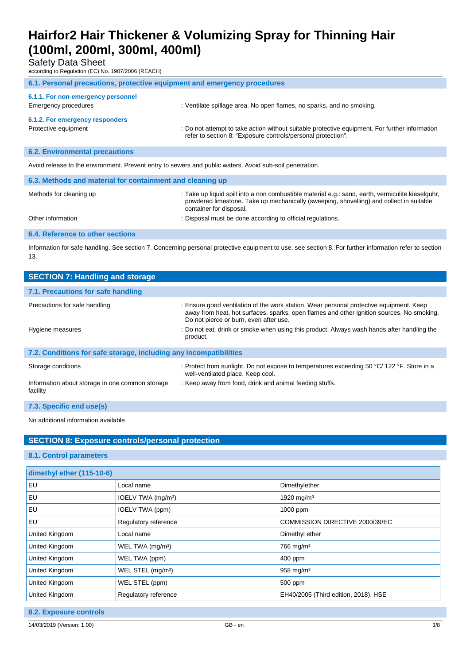Safety Data Sheet

according to Regulation (EC) No. 1907/2006 (REACH)

| 6.1. Personal precautions, protective equipment and emergency procedures |                                                                                                                                                                |  |
|--------------------------------------------------------------------------|----------------------------------------------------------------------------------------------------------------------------------------------------------------|--|
| 6.1.1. For non-emergency personnel<br>Emergency procedures               | : Ventilate spillage area. No open flames, no sparks, and no smoking.                                                                                          |  |
| 6.1.2. For emergency responders<br>Protective equipment                  | : Do not attempt to take action without suitable protective equipment. For further information<br>refer to section 8: "Exposure controls/personal protection". |  |

### **6.2. Environmental precautions**

Avoid release to the environment. Prevent entry to sewers and public waters. Avoid sub-soil penetration.

| 6.3. Methods and material for containment and cleaning up |                                                                                                                                                                                                                         |  |
|-----------------------------------------------------------|-------------------------------------------------------------------------------------------------------------------------------------------------------------------------------------------------------------------------|--|
| Methods for cleaning up                                   | : Take up liquid spill into a non combustible material e.g.: sand, earth, vermiculite kieselguhr,<br>powdered limestone. Take up mechanically (sweeping, shovelling) and collect in suitable<br>container for disposal. |  |
| Other information                                         | : Disposal must be done according to official regulations.                                                                                                                                                              |  |
| <b>6.4. Reference to other sections</b>                   |                                                                                                                                                                                                                         |  |

Information for safe handling. See section 7. Concerning personal protective equipment to use, see section 8. For further information refer to section 13.

| <b>SECTION 7: Handling and storage</b>                            |                                                                                                                                                                                                                                |  |
|-------------------------------------------------------------------|--------------------------------------------------------------------------------------------------------------------------------------------------------------------------------------------------------------------------------|--|
| 7.1. Precautions for safe handling                                |                                                                                                                                                                                                                                |  |
| Precautions for safe handling                                     | : Ensure good ventilation of the work station. Wear personal protective equipment. Keep<br>away from heat, hot surfaces, sparks, open flames and other ignition sources. No smoking.<br>Do not pierce or burn, even after use. |  |
| Hygiene measures                                                  | : Do not eat, drink or smoke when using this product. Always wash hands after handling the<br>product.                                                                                                                         |  |
| 7.2. Conditions for safe storage, including any incompatibilities |                                                                                                                                                                                                                                |  |
| Storage conditions                                                | : Protect from sunlight. Do not expose to temperatures exceeding 50 °C/ 122 °F. Store in a<br>well-ventilated place. Keep cool.                                                                                                |  |
| Information about storage in one common storage<br>facility       | : Keep away from food, drink and animal feeding stuffs.                                                                                                                                                                        |  |

**7.3. Specific end use(s)**

No additional information available

### **SECTION 8: Exposure controls/personal protection**

### **8.1. Control parameters**

| dimethyl ether (115-10-6) |                                |                                      |
|---------------------------|--------------------------------|--------------------------------------|
| EU                        | Local name                     | Dimethylether                        |
| EU                        | IOELV TWA (mg/m <sup>3</sup> ) | 1920 mg/m <sup>3</sup>               |
| EU                        | IOELV TWA (ppm)                | 1000 ppm                             |
| EU                        | Regulatory reference           | COMMISSION DIRECTIVE 2000/39/EC      |
| United Kingdom            | Local name                     | Dimethyl ether                       |
| United Kingdom            | WEL TWA (mg/m <sup>3</sup> )   | $766$ mg/m <sup>3</sup>              |
| United Kingdom            | WEL TWA (ppm)                  | 400 ppm                              |
| United Kingdom            | WEL STEL (mg/m <sup>3</sup> )  | $958$ mg/m <sup>3</sup>              |
| United Kingdom            | WEL STEL (ppm)                 | 500 ppm                              |
| United Kingdom            | Regulatory reference           | EH40/2005 (Third edition, 2018). HSE |

**8.2. Exposure controls**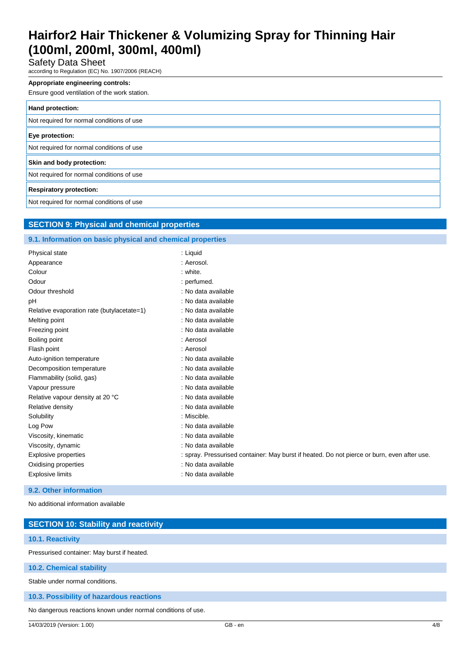Safety Data Sheet

according to Regulation (EC) No. 1907/2006 (REACH)

#### **Appropriate engineering controls:**

Ensure good ventilation of the work station.

| Hand protection:                          |
|-------------------------------------------|
| Not required for normal conditions of use |
| Eye protection:                           |
| Not required for normal conditions of use |
| Skin and body protection:                 |
| Not required for normal conditions of use |
| <b>Respiratory protection:</b>            |
| Not required for normal conditions of use |

### **SECTION 9: Physical and chemical properties**

### **9.1. Information on basic physical and chemical properties**

| <b>Physical state</b>                      | : Liquid                                                                                    |
|--------------------------------------------|---------------------------------------------------------------------------------------------|
| Appearance                                 | : Aerosol.                                                                                  |
| Colour                                     | : white.                                                                                    |
| Odour                                      | : perfumed.                                                                                 |
| Odour threshold                            | : No data available                                                                         |
| рH                                         | : No data available                                                                         |
| Relative evaporation rate (butylacetate=1) | : No data available                                                                         |
| Melting point                              | : No data available                                                                         |
| Freezing point                             | : No data available                                                                         |
| Boiling point                              | : Aerosol                                                                                   |
| Flash point                                | : Aerosol                                                                                   |
| Auto-ignition temperature                  | : No data available                                                                         |
| Decomposition temperature                  | : No data available                                                                         |
| Flammability (solid, gas)                  | : No data available                                                                         |
| Vapour pressure                            | : No data available                                                                         |
| Relative vapour density at 20 °C           | : No data available                                                                         |
| Relative density                           | : No data available                                                                         |
| Solubility                                 | : Miscible.                                                                                 |
| Log Pow                                    | : No data available                                                                         |
| Viscosity, kinematic                       | : No data available                                                                         |
| Viscosity, dynamic                         | : No data available                                                                         |
| <b>Explosive properties</b>                | : spray. Pressurised container: May burst if heated. Do not pierce or burn, even after use. |
| Oxidising properties                       | : No data available                                                                         |
| <b>Explosive limits</b>                    | : No data available                                                                         |

### **9.2. Other information**

No additional information available

| <b>SECTION 10: Stability and reactivity</b> |
|---------------------------------------------|
|                                             |
| <b>10.1. Reactivity</b>                     |
|                                             |
| Pressurised container: May burst if heated. |
|                                             |
|                                             |
| 10.2. Chemical stability                    |
|                                             |
| Stable under normal conditions.             |
|                                             |
|                                             |
| 10.3. Possibility of hazardous reactions    |
|                                             |

No dangerous reactions known under normal conditions of use.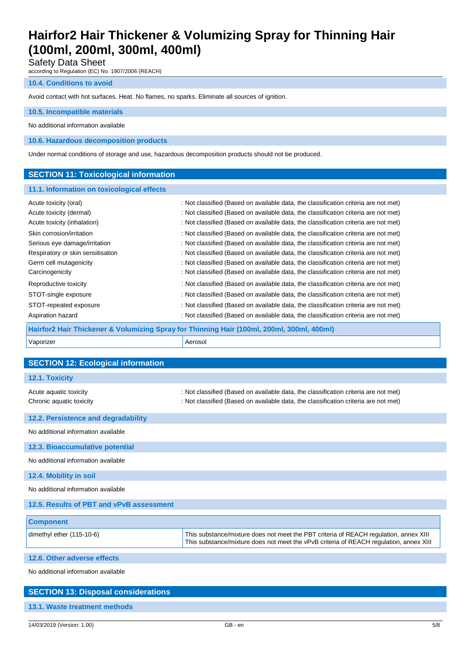Safety Data Sheet

according to Regulation (EC) No. 1907/2006 (REACH)

#### **10.4. Conditions to avoid**

Avoid contact with hot surfaces. Heat. No flames, no sparks. Eliminate all sources of ignition.

### **10.5. Incompatible materials**

No additional information available

**10.6. Hazardous decomposition products**

Under normal conditions of storage and use, hazardous decomposition products should not be produced.

#### **SECTION 11: Toxicological information**

#### **11.1. Information on toxicological effects**

| Acute toxicity (oral)                                                                     | : Not classified (Based on available data, the classification criteria are not met) |  |
|-------------------------------------------------------------------------------------------|-------------------------------------------------------------------------------------|--|
| Acute toxicity (dermal)                                                                   | : Not classified (Based on available data, the classification criteria are not met) |  |
| Acute toxicity (inhalation)                                                               | : Not classified (Based on available data, the classification criteria are not met) |  |
| Skin corrosion/irritation                                                                 | : Not classified (Based on available data, the classification criteria are not met) |  |
| Serious eye damage/irritation                                                             | : Not classified (Based on available data, the classification criteria are not met) |  |
| Respiratory or skin sensitisation                                                         | : Not classified (Based on available data, the classification criteria are not met) |  |
| Germ cell mutagenicity                                                                    | : Not classified (Based on available data, the classification criteria are not met) |  |
| Carcinogenicity                                                                           | : Not classified (Based on available data, the classification criteria are not met) |  |
| Reproductive toxicity                                                                     | : Not classified (Based on available data, the classification criteria are not met) |  |
| STOT-single exposure                                                                      | : Not classified (Based on available data, the classification criteria are not met) |  |
| STOT-repeated exposure                                                                    | : Not classified (Based on available data, the classification criteria are not met) |  |
| Aspiration hazard                                                                         | : Not classified (Based on available data, the classification criteria are not met) |  |
| Hairfor2 Hair Thickener & Volumizing Spray for Thinning Hair (100ml, 200ml, 300ml, 400ml) |                                                                                     |  |
| Vaporizer                                                                                 | Aerosol                                                                             |  |

| <b>SECTION 12: Ecological information</b>          |                                                                                                                                                                                 |
|----------------------------------------------------|---------------------------------------------------------------------------------------------------------------------------------------------------------------------------------|
| 12.1. Toxicity                                     |                                                                                                                                                                                 |
| Acute aquatic toxicity<br>Chronic aquatic toxicity | : Not classified (Based on available data, the classification criteria are not met)<br>: Not classified (Based on available data, the classification criteria are not met)      |
| 12.2. Persistence and degradability                |                                                                                                                                                                                 |
| No additional information available                |                                                                                                                                                                                 |
| 12.3. Bioaccumulative potential                    |                                                                                                                                                                                 |
| No additional information available                |                                                                                                                                                                                 |
| 12.4. Mobility in soil                             |                                                                                                                                                                                 |
| No additional information available                |                                                                                                                                                                                 |
| 12.5. Results of PBT and vPvB assessment           |                                                                                                                                                                                 |
| <b>Component</b>                                   |                                                                                                                                                                                 |
| dimethyl ether (115-10-6)                          | This substance/mixture does not meet the PBT criteria of REACH regulation, annex XIII<br>This substance/mixture does not meet the vPvB criteria of REACH regulation, annex XIII |
|                                                    |                                                                                                                                                                                 |

**12.6. Other adverse effects**

No additional information available

# **SECTION 13: Disposal considerations 13.1. Waste treatment methods**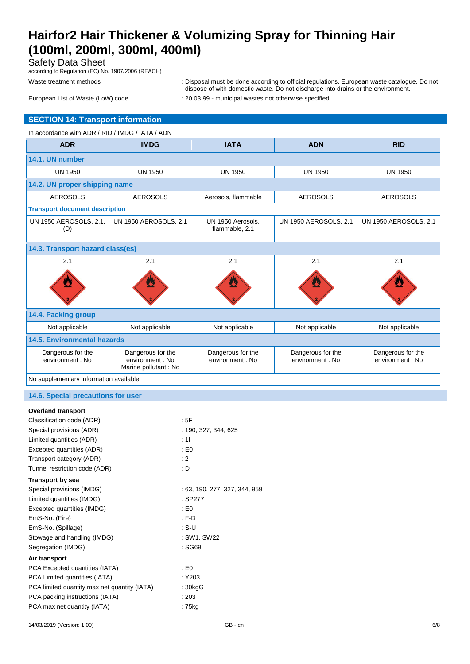Safety Data Sheet

according to Regulation (EC) No. 1907/2006 (REACH)

Waste treatment methods **interpretatal must be done according to official regulations**. European waste catalogue. Do not dispose of with domestic waste. Do not discharge into drains or the environment.

European List of Waste (LoW) code : 20 03 99 - municipal wastes not otherwise specified

### **SECTION 14: Transport information**

| In accordance with ADR / RID / IMDG / IATA / ADN |                                                               |                                       |                                       |                                       |
|--------------------------------------------------|---------------------------------------------------------------|---------------------------------------|---------------------------------------|---------------------------------------|
| <b>ADR</b>                                       | <b>IMDG</b>                                                   | <b>IATA</b>                           | <b>ADN</b>                            | <b>RID</b>                            |
| 14.1. UN number                                  |                                                               |                                       |                                       |                                       |
| <b>UN 1950</b>                                   | <b>UN 1950</b>                                                | <b>UN 1950</b>                        | <b>UN 1950</b>                        | <b>UN 1950</b>                        |
| 14.2. UN proper shipping name                    |                                                               |                                       |                                       |                                       |
| <b>AEROSOLS</b>                                  | <b>AEROSOLS</b>                                               | Aerosols, flammable                   | <b>AEROSOLS</b>                       | <b>AEROSOLS</b>                       |
| <b>Transport document description</b>            |                                                               |                                       |                                       |                                       |
| UN 1950 AEROSOLS, 2.1,<br>(D)                    | <b>UN 1950 AEROSOLS, 2.1</b>                                  | UN 1950 Aerosols,<br>flammable, 2.1   | <b>UN 1950 AEROSOLS, 2.1</b>          | <b>UN 1950 AEROSOLS, 2.1</b>          |
| 14.3. Transport hazard class(es)                 |                                                               |                                       |                                       |                                       |
| 2.1                                              | 2.1                                                           | 2.1                                   | 2.1                                   | 2.1                                   |
|                                                  | $\overline{\boldsymbol{\pi}}$                                 |                                       |                                       |                                       |
| 14.4. Packing group                              |                                                               |                                       |                                       |                                       |
| Not applicable                                   | Not applicable                                                | Not applicable                        | Not applicable                        | Not applicable                        |
| 14.5. Environmental hazards                      |                                                               |                                       |                                       |                                       |
| Dangerous for the<br>environment : No            | Dangerous for the<br>environment : No<br>Marine pollutant: No | Dangerous for the<br>environment : No | Dangerous for the<br>environment : No | Dangerous for the<br>environment : No |
| No supplementary information available           |                                                               |                                       |                                       |                                       |

#### **14.6. Special precautions for user**

#### **Overland transport**

| Classification code (ADR)                    | : 5F                          |
|----------------------------------------------|-------------------------------|
| Special provisions (ADR)                     | : 190, 327, 344, 625          |
| Limited quantities (ADR)                     | : 11                          |
| Excepted quantities (ADR)                    | E <sub>0</sub>                |
| Transport category (ADR)                     | $\div 2$                      |
| Tunnel restriction code (ADR)                | : D                           |
| <b>Transport by sea</b>                      |                               |
| Special provisions (IMDG)                    | : 63, 190, 277, 327, 344, 959 |
| Limited quantities (IMDG)                    | $:$ SP277                     |
| Excepted quantities (IMDG)                   | E <sub>0</sub>                |
| EmS-No. (Fire)                               | : F.D                         |
| EmS-No. (Spillage)                           | : S-U                         |
| Stowage and handling (IMDG)                  | : SW1, SW22                   |
| Segregation (IMDG)                           | : SG69                        |
| Air transport                                |                               |
| PCA Excepted quantities (IATA)               | E <sub>0</sub>                |
| PCA Limited quantities (IATA)                | :Y203                         |
| PCA limited quantity max net quantity (IATA) | : 30kgG                       |
| PCA packing instructions (IATA)              | :203                          |
| PCA max net quantity (IATA)                  | : 75kg                        |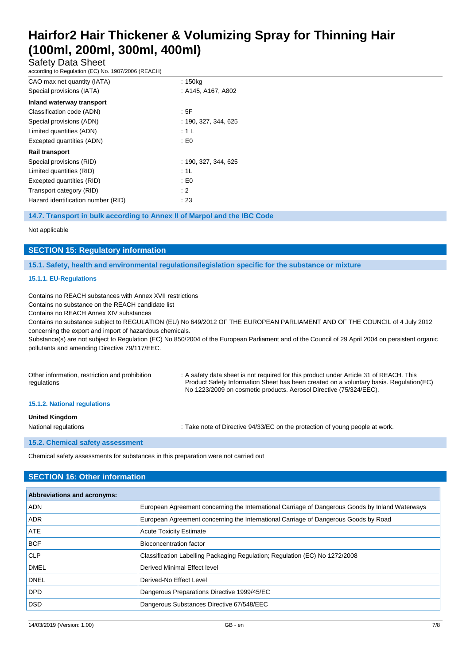Safety Data Sheet

according to Regulation (EC) No. 1907/2006 (REACH)

| CAO max net quantity (IATA)        | : 150kg              |
|------------------------------------|----------------------|
| Special provisions (IATA)          | : A145, A167, A802   |
| Inland waterway transport          |                      |
| Classification code (ADN)          | : 5F                 |
| Special provisions (ADN)           | : 190, 327, 344, 625 |
| Limited quantities (ADN)           | : 1 L                |
| Excepted quantities (ADN)          | : E0                 |
| <b>Rail transport</b>              |                      |
| Special provisions (RID)           | : 190. 327. 344. 625 |
| Limited quantities (RID)           | : 1L                 |
| Excepted quantities (RID)          | : E <sub>0</sub>     |
| Transport category (RID)           | : 2                  |
| Hazard identification number (RID) | :23                  |

#### **14.7. Transport in bulk according to Annex II of Marpol and the IBC Code**

Not applicable

### **SECTION 15: Regulatory information**

**15.1. Safety, health and environmental regulations/legislation specific for the substance or mixture**

#### **15.1.1. EU-Regulations**

Contains no REACH substances with Annex XVII restrictions

Contains no substance on the REACH candidate list

Contains no REACH Annex XIV substances

Contains no substance subject to REGULATION (EU) No 649/2012 OF THE EUROPEAN PARLIAMENT AND OF THE COUNCIL of 4 July 2012 concerning the export and import of hazardous chemicals.

Substance(s) are not subject to Regulation (EC) No 850/2004 of the European Parliament and of the Council of 29 April 2004 on persistent organic pollutants and amending Directive 79/117/EEC.

| Other information, restriction and prohibition<br>regulations | : A safety data sheet is not required for this product under Article 31 of REACH. This<br>Product Safety Information Sheet has been created on a voluntary basis. Regulation (EC)<br>No 1223/2009 on cosmetic products. Aerosol Directive (75/324/EEC). |
|---------------------------------------------------------------|---------------------------------------------------------------------------------------------------------------------------------------------------------------------------------------------------------------------------------------------------------|
| 15.1.2. National regulations                                  |                                                                                                                                                                                                                                                         |
| <b>United Kingdom</b><br>National regulations                 | : Take note of Directive 94/33/EC on the protection of young people at work.                                                                                                                                                                            |

#### **15.2. Chemical safety assessment**

Chemical safety assessments for substances in this preparation were not carried out

## **SECTION 16: Other information**

| <b>Abbreviations and acronyms:</b> |                                                                                                 |  |
|------------------------------------|-------------------------------------------------------------------------------------------------|--|
| <b>ADN</b>                         | European Agreement concerning the International Carriage of Dangerous Goods by Inland Waterways |  |
| ADR.                               | European Agreement concerning the International Carriage of Dangerous Goods by Road             |  |
| <b>ATE</b>                         | <b>Acute Toxicity Estimate</b>                                                                  |  |
| <b>BCF</b>                         | Bioconcentration factor                                                                         |  |
| <b>CLP</b>                         | Classification Labelling Packaging Regulation; Regulation (EC) No 1272/2008                     |  |
| <b>DMEL</b>                        | Derived Minimal Effect level                                                                    |  |
| <b>DNEL</b>                        | Derived-No Effect Level                                                                         |  |
| DPD                                | Dangerous Preparations Directive 1999/45/EC                                                     |  |
| <b>DSD</b>                         | Dangerous Substances Directive 67/548/EEC                                                       |  |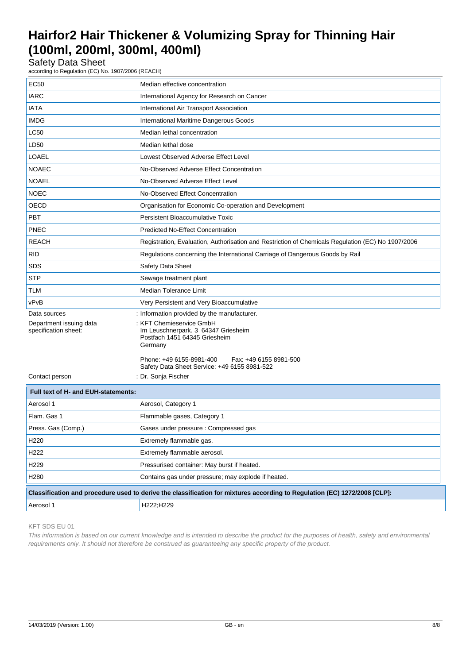Safety Data Sheet

according to Regulation (EC) No. 1907/2006 (REACH)

| <b>EC50</b>                                     | Median effective concentration                                                                              |
|-------------------------------------------------|-------------------------------------------------------------------------------------------------------------|
| <b>IARC</b>                                     | International Agency for Research on Cancer                                                                 |
| <b>IATA</b>                                     | International Air Transport Association                                                                     |
| <b>IMDG</b>                                     | International Maritime Dangerous Goods                                                                      |
| <b>LC50</b>                                     | Median lethal concentration                                                                                 |
| LD50                                            | Median lethal dose                                                                                          |
| LOAEL                                           | Lowest Observed Adverse Effect Level                                                                        |
| <b>NOAEC</b>                                    | No-Observed Adverse Effect Concentration                                                                    |
| <b>NOAEL</b>                                    | No-Observed Adverse Effect Level                                                                            |
| <b>NOEC</b>                                     | No-Observed Effect Concentration                                                                            |
| OECD                                            | Organisation for Economic Co-operation and Development                                                      |
| <b>PBT</b>                                      | Persistent Bioaccumulative Toxic                                                                            |
| PNEC                                            | <b>Predicted No-Effect Concentration</b>                                                                    |
| <b>REACH</b>                                    | Registration, Evaluation, Authorisation and Restriction of Chemicals Regulation (EC) No 1907/2006           |
| <b>RID</b>                                      | Regulations concerning the International Carriage of Dangerous Goods by Rail                                |
| <b>SDS</b>                                      | Safety Data Sheet                                                                                           |
| <b>STP</b>                                      | Sewage treatment plant                                                                                      |
| <b>TLM</b>                                      | <b>Median Tolerance Limit</b>                                                                               |
| vPvB                                            | Very Persistent and Very Bioaccumulative                                                                    |
| Data sources                                    | : Information provided by the manufacturer.                                                                 |
| Department issuing data<br>specification sheet: | : KFT Chemieservice GmbH<br>Im Leuschnerpark. 3 64347 Griesheim<br>Postfach 1451 64345 Griesheim<br>Germany |
|                                                 | Phone: +49 6155-8981-400<br>Fax: +49 6155 8981-500<br>Safety Data Sheet Service: +49 6155 8981-522          |
| Contact person                                  | : Dr. Sonja Fischer                                                                                         |
| Euli toyt of H. and EUH statements.             |                                                                                                             |

| Full text of H- and EUH-statements:                                                                                       |                                                     |  |
|---------------------------------------------------------------------------------------------------------------------------|-----------------------------------------------------|--|
| Aerosol 1                                                                                                                 | Aerosol, Category 1                                 |  |
| Flam, Gas 1                                                                                                               | Flammable gases, Category 1                         |  |
| Press. Gas (Comp.)                                                                                                        | Gases under pressure: Compressed gas                |  |
| H <sub>220</sub>                                                                                                          | Extremely flammable gas.                            |  |
| H <sub>222</sub>                                                                                                          | Extremely flammable aerosol.                        |  |
| H <sub>229</sub>                                                                                                          | Pressurised container: May burst if heated.         |  |
| H <sub>280</sub>                                                                                                          | Contains gas under pressure; may explode if heated. |  |
| Classification and procedure used to derive the classification for mixtures according to Regulation (EC) 1272/2008 [CLP]: |                                                     |  |
| Aerosol 1                                                                                                                 | H222:H229                                           |  |

#### KFT SDS EU 01

*This information is based on our current knowledge and is intended to describe the product for the purposes of health, safety and environmental requirements only. It should not therefore be construed as guaranteeing any specific property of the product.*